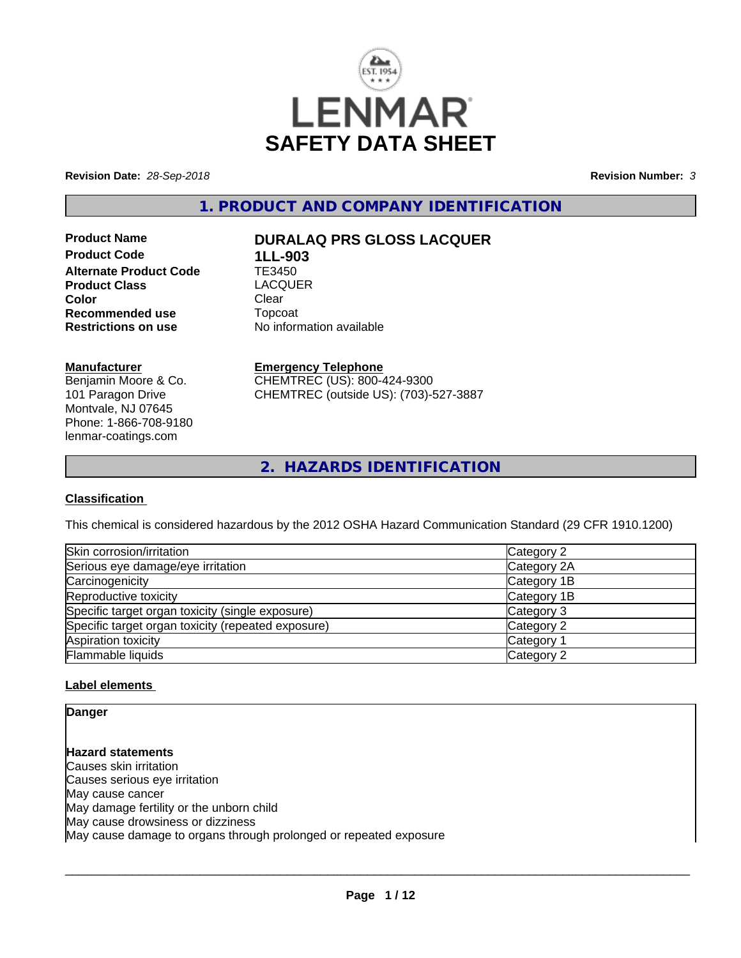

**Revision Date:** *28-Sep-2018* **Revision Number:** *3*

**1. PRODUCT AND COMPANY IDENTIFICATION**

**Product Code 1LL-903 Alternate Product Code TE3450**<br> **Product Class COMPLACOUER Product Class Exercise LACQUER**<br> **Color** Clear **Color** Clear Clear **Recommended use Topcoat Restrictions on use Theory Network** 

# **Product Name DURALAQ PRS GLOSS LACQUER**

**No information available** 

#### **Manufacturer**

Benjamin Moore & Co. 101 Paragon Drive Montvale, NJ 07645 Phone: 1-866-708-9180 lenmar-coatings.com

## **Emergency Telephone**

CHEMTREC (US): 800-424-9300 CHEMTREC (outside US): (703)-527-3887

**2. HAZARDS IDENTIFICATION**

## **Classification**

This chemical is considered hazardous by the 2012 OSHA Hazard Communication Standard (29 CFR 1910.1200)

| Skin corrosion/irritation                          | Category 2  |
|----------------------------------------------------|-------------|
| Serious eye damage/eye irritation                  | Category 2A |
| Carcinogenicity                                    | Category 1B |
| Reproductive toxicity                              | Category 1B |
| Specific target organ toxicity (single exposure)   | Category 3  |
| Specific target organ toxicity (repeated exposure) | Category 2  |
| Aspiration toxicity                                | Category 1  |
| Flammable liquids                                  | Category 2  |

## **Label elements**

**Danger**

**Hazard statements** Causes skin irritation Causes serious eye irritation May cause cancer May damage fertility or the unborn child May cause drowsiness or dizziness May cause damage to organs through prolonged or repeated exposure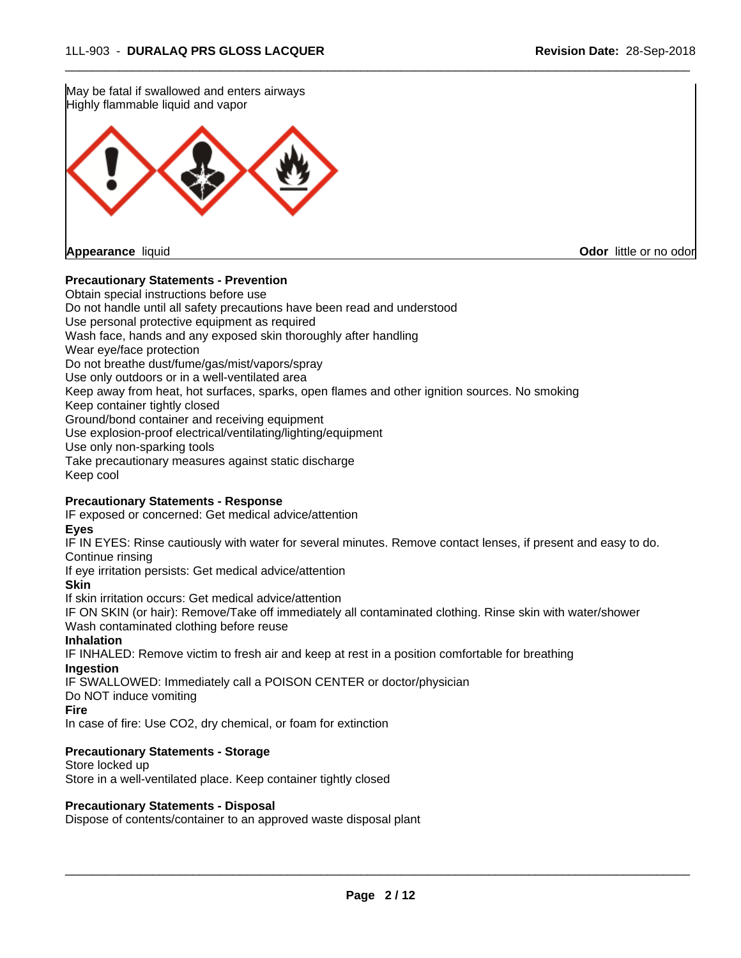May be fatal if swallowed and enters airways Highly flammable liquid and vapor **Appearance** liquid **Odor** little or no odor

## **Precautionary Statements - Prevention**

Obtain special instructions before use Do not handle until all safety precautions have been read and understood Use personal protective equipment as required Wash face, hands and any exposed skin thoroughly after handling Wear eye/face protection Do not breathe dust/fume/gas/mist/vapors/spray Use only outdoors or in a well-ventilated area Keep away from heat, hot surfaces, sparks, open flames and other ignition sources. No smoking Keep container tightly closed Ground/bond container and receiving equipment Use explosion-proof electrical/ventilating/lighting/equipment Use only non-sparking tools Take precautionary measures against static discharge Keep cool

 $\overline{\phantom{a}}$  ,  $\overline{\phantom{a}}$  ,  $\overline{\phantom{a}}$  ,  $\overline{\phantom{a}}$  ,  $\overline{\phantom{a}}$  ,  $\overline{\phantom{a}}$  ,  $\overline{\phantom{a}}$  ,  $\overline{\phantom{a}}$  ,  $\overline{\phantom{a}}$  ,  $\overline{\phantom{a}}$  ,  $\overline{\phantom{a}}$  ,  $\overline{\phantom{a}}$  ,  $\overline{\phantom{a}}$  ,  $\overline{\phantom{a}}$  ,  $\overline{\phantom{a}}$  ,  $\overline{\phantom{a}}$ 

#### **Precautionary Statements - Response**

IF exposed or concerned: Get medical advice/attention

**Eyes**

IF IN EYES: Rinse cautiously with water for several minutes. Remove contact lenses, if present and easy to do. Continue rinsing

If eye irritation persists: Get medical advice/attention

**Skin**

If skin irritation occurs: Get medical advice/attention

IF ON SKIN (or hair): Remove/Take off immediately all contaminated clothing. Rinse skin with water/shower Wash contaminated clothing before reuse

#### **Inhalation**

IF INHALED: Remove victim to fresh air and keep at rest in a position comfortable for breathing **Ingestion**

IF SWALLOWED: Immediately call a POISON CENTER or doctor/physician

Do NOT induce vomiting

**Fire**

In case of fire: Use CO2, dry chemical, or foam for extinction

#### **Precautionary Statements - Storage**

Store locked up Store in a well-ventilated place. Keep container tightly closed

#### **Precautionary Statements - Disposal**

Dispose of contents/container to an approved waste disposal plant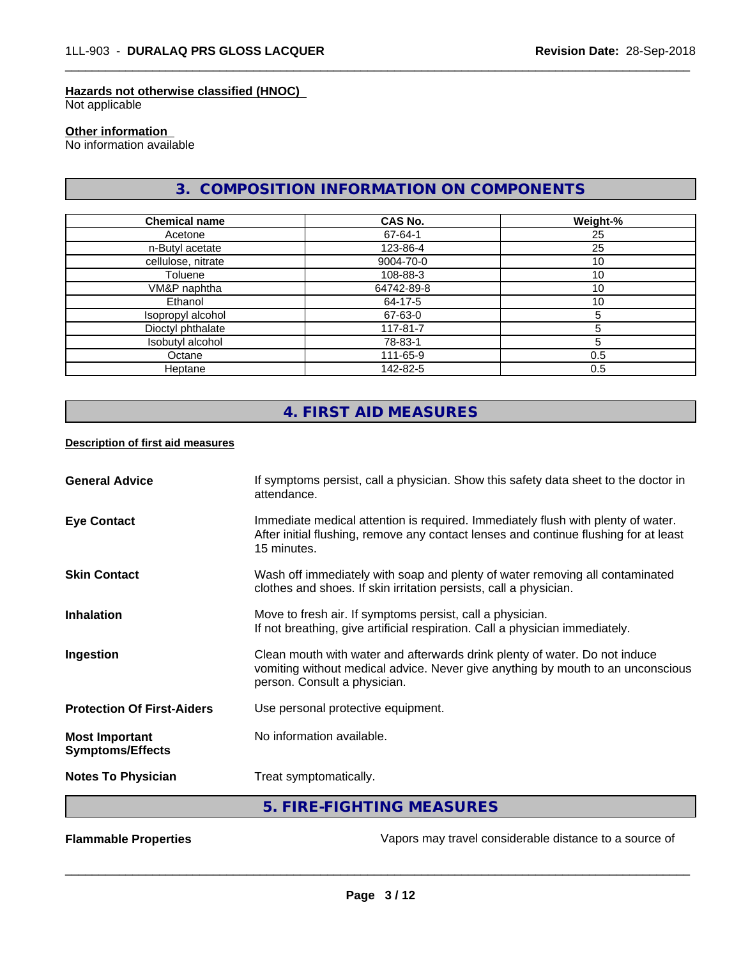#### **Hazards not otherwise classified (HNOC)**

Not applicable

## **Other information**

No information available

## **3. COMPOSITION INFORMATION ON COMPONENTS**

 $\overline{\phantom{a}}$  ,  $\overline{\phantom{a}}$  ,  $\overline{\phantom{a}}$  ,  $\overline{\phantom{a}}$  ,  $\overline{\phantom{a}}$  ,  $\overline{\phantom{a}}$  ,  $\overline{\phantom{a}}$  ,  $\overline{\phantom{a}}$  ,  $\overline{\phantom{a}}$  ,  $\overline{\phantom{a}}$  ,  $\overline{\phantom{a}}$  ,  $\overline{\phantom{a}}$  ,  $\overline{\phantom{a}}$  ,  $\overline{\phantom{a}}$  ,  $\overline{\phantom{a}}$  ,  $\overline{\phantom{a}}$ 

| <b>Chemical name</b> | <b>CAS No.</b> | Weight-% |
|----------------------|----------------|----------|
| Acetone              | 67-64-1        | 25       |
| n-Butyl acetate      | 123-86-4       | 25       |
| cellulose, nitrate   | 9004-70-0      | 10       |
| Toluene              | 108-88-3       | 10       |
| VM&P naphtha         | 64742-89-8     | 10       |
| Ethanol              | 64-17-5        | 10       |
| Isopropyl alcohol    | 67-63-0        |          |
| Dioctyl phthalate    | 117-81-7       |          |
| Isobutyl alcohol     | 78-83-1        | 5        |
| Octane               | 111-65-9       | 0.5      |
| Heptane              | 142-82-5       | 0.5      |

# **4. FIRST AID MEASURES**

#### **Description of first aid measures**

| <b>General Advice</b>                            | If symptoms persist, call a physician. Show this safety data sheet to the doctor in<br>attendance.                                                                                            |
|--------------------------------------------------|-----------------------------------------------------------------------------------------------------------------------------------------------------------------------------------------------|
| <b>Eye Contact</b>                               | Immediate medical attention is required. Immediately flush with plenty of water.<br>After initial flushing, remove any contact lenses and continue flushing for at least<br>15 minutes.       |
| <b>Skin Contact</b>                              | Wash off immediately with soap and plenty of water removing all contaminated<br>clothes and shoes. If skin irritation persists, call a physician.                                             |
| <b>Inhalation</b>                                | Move to fresh air. If symptoms persist, call a physician.<br>If not breathing, give artificial respiration. Call a physician immediately.                                                     |
| Ingestion                                        | Clean mouth with water and afterwards drink plenty of water. Do not induce<br>vomiting without medical advice. Never give anything by mouth to an unconscious<br>person. Consult a physician. |
| <b>Protection Of First-Aiders</b>                | Use personal protective equipment.                                                                                                                                                            |
| <b>Most Important</b><br><b>Symptoms/Effects</b> | No information available.                                                                                                                                                                     |
| <b>Notes To Physician</b>                        | Treat symptomatically.                                                                                                                                                                        |
|                                                  | 5. FIRE-FIGHTING MEASURES                                                                                                                                                                     |

**Flammable Properties Exercise Exercise Exercise 2 and Secure 1** Vapors may travel considerable distance to a source of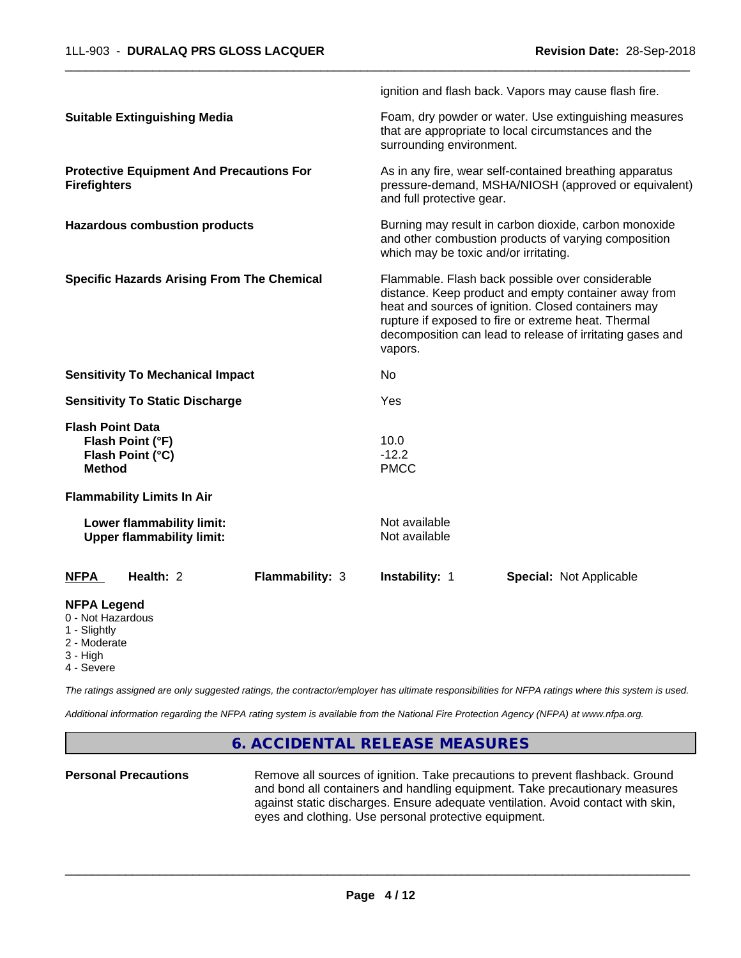|                                                                                     |                                                               |                                                                                                                                                                                                                                                                                                |                                | ignition and flash back. Vapors may cause flash fire.                                                           |  |
|-------------------------------------------------------------------------------------|---------------------------------------------------------------|------------------------------------------------------------------------------------------------------------------------------------------------------------------------------------------------------------------------------------------------------------------------------------------------|--------------------------------|-----------------------------------------------------------------------------------------------------------------|--|
|                                                                                     | <b>Suitable Extinguishing Media</b>                           |                                                                                                                                                                                                                                                                                                | surrounding environment.       | Foam, dry powder or water. Use extinguishing measures<br>that are appropriate to local circumstances and the    |  |
| <b>Firefighters</b>                                                                 | <b>Protective Equipment And Precautions For</b>               |                                                                                                                                                                                                                                                                                                | and full protective gear.      | As in any fire, wear self-contained breathing apparatus<br>pressure-demand, MSHA/NIOSH (approved or equivalent) |  |
| <b>Hazardous combustion products</b>                                                |                                                               | Burning may result in carbon dioxide, carbon monoxide<br>and other combustion products of varying composition<br>which may be toxic and/or irritating.                                                                                                                                         |                                |                                                                                                                 |  |
| <b>Specific Hazards Arising From The Chemical</b>                                   |                                                               | Flammable. Flash back possible over considerable<br>distance. Keep product and empty container away from<br>heat and sources of ignition. Closed containers may<br>rupture if exposed to fire or extreme heat. Thermal<br>decomposition can lead to release of irritating gases and<br>vapors. |                                |                                                                                                                 |  |
|                                                                                     | <b>Sensitivity To Mechanical Impact</b>                       |                                                                                                                                                                                                                                                                                                | No                             |                                                                                                                 |  |
|                                                                                     | <b>Sensitivity To Static Discharge</b>                        |                                                                                                                                                                                                                                                                                                | Yes                            |                                                                                                                 |  |
| <b>Flash Point Data</b><br><b>Method</b>                                            | Flash Point (°F)<br>Flash Point (°C)                          |                                                                                                                                                                                                                                                                                                | 10.0<br>$-12.2$<br><b>PMCC</b> |                                                                                                                 |  |
|                                                                                     | <b>Flammability Limits In Air</b>                             |                                                                                                                                                                                                                                                                                                |                                |                                                                                                                 |  |
|                                                                                     | Lower flammability limit:<br><b>Upper flammability limit:</b> |                                                                                                                                                                                                                                                                                                | Not available<br>Not available |                                                                                                                 |  |
| <b>NFPA</b>                                                                         | Health: 2                                                     | Flammability: 3                                                                                                                                                                                                                                                                                | Instability: 1                 | <b>Special: Not Applicable</b>                                                                                  |  |
| <b>NFPA Legend</b><br>0 - Not Hazardous<br>1 - Slightly<br>2 - Moderate<br>3 - High |                                                               |                                                                                                                                                                                                                                                                                                |                                |                                                                                                                 |  |

4 - Severe

*The ratings assigned are only suggested ratings, the contractor/employer has ultimate responsibilities for NFPA ratings where this system is used.*

*Additional information regarding the NFPA rating system is available from the National Fire Protection Agency (NFPA) at www.nfpa.org.*

# **6. ACCIDENTAL RELEASE MEASURES**

**Personal Precautions** Remove all sources of ignition. Take precautions to prevent flashback. Ground and bond all containers and handling equipment. Take precautionary measures against static discharges. Ensure adequate ventilation. Avoid contact with skin, eyes and clothing. Use personal protective equipment.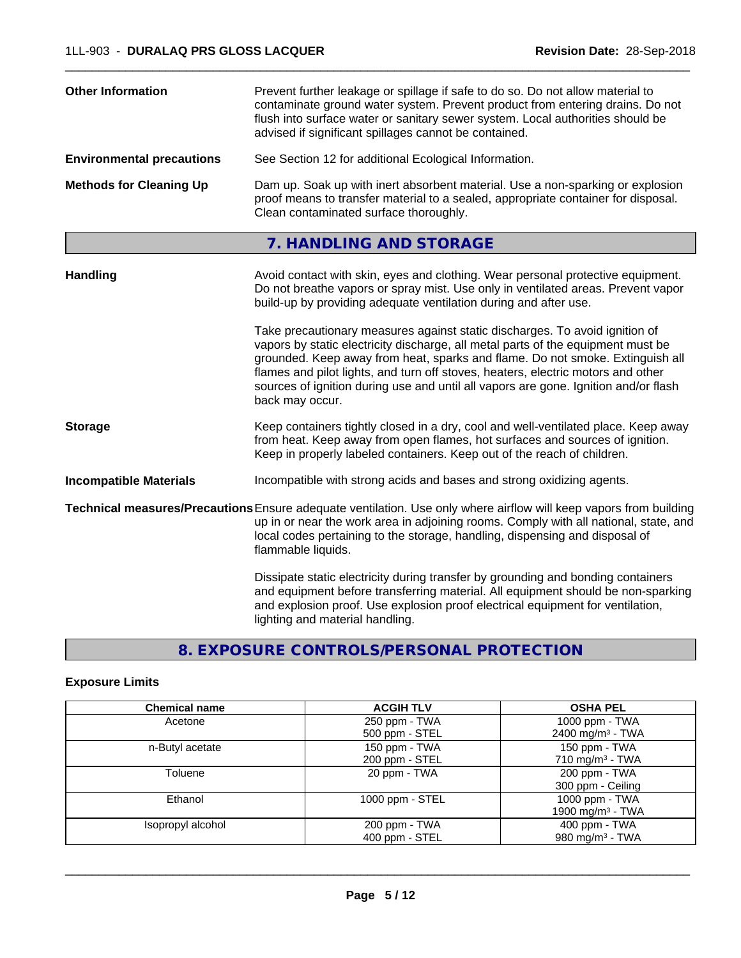| <b>Other Information</b>                                                                                                                                                                                                                        | Prevent further leakage or spillage if safe to do so. Do not allow material to<br>contaminate ground water system. Prevent product from entering drains. Do not<br>flush into surface water or sanitary sewer system. Local authorities should be<br>advised if significant spillages cannot be contained.                                                                                                                                     |
|-------------------------------------------------------------------------------------------------------------------------------------------------------------------------------------------------------------------------------------------------|------------------------------------------------------------------------------------------------------------------------------------------------------------------------------------------------------------------------------------------------------------------------------------------------------------------------------------------------------------------------------------------------------------------------------------------------|
| <b>Environmental precautions</b>                                                                                                                                                                                                                | See Section 12 for additional Ecological Information.                                                                                                                                                                                                                                                                                                                                                                                          |
| <b>Methods for Cleaning Up</b><br>Dam up. Soak up with inert absorbent material. Use a non-sparking or explosion<br>proof means to transfer material to a sealed, appropriate container for disposal.<br>Clean contaminated surface thoroughly. |                                                                                                                                                                                                                                                                                                                                                                                                                                                |
|                                                                                                                                                                                                                                                 | 7. HANDLING AND STORAGE                                                                                                                                                                                                                                                                                                                                                                                                                        |
| <b>Handling</b>                                                                                                                                                                                                                                 | Avoid contact with skin, eyes and clothing. Wear personal protective equipment.<br>Do not breathe vapors or spray mist. Use only in ventilated areas. Prevent vapor<br>build-up by providing adequate ventilation during and after use.                                                                                                                                                                                                        |
|                                                                                                                                                                                                                                                 | Take precautionary measures against static discharges. To avoid ignition of<br>vapors by static electricity discharge, all metal parts of the equipment must be<br>grounded. Keep away from heat, sparks and flame. Do not smoke. Extinguish all<br>flames and pilot lights, and turn off stoves, heaters, electric motors and other<br>sources of ignition during use and until all vapors are gone. Ignition and/or flash<br>back may occur. |
| <b>Storage</b>                                                                                                                                                                                                                                  | Keep containers tightly closed in a dry, cool and well-ventilated place. Keep away<br>from heat. Keep away from open flames, hot surfaces and sources of ignition.<br>Keep in properly labeled containers. Keep out of the reach of children.                                                                                                                                                                                                  |
| <b>Incompatible Materials</b>                                                                                                                                                                                                                   | Incompatible with strong acids and bases and strong oxidizing agents.                                                                                                                                                                                                                                                                                                                                                                          |
|                                                                                                                                                                                                                                                 | Technical measures/Precautions Ensure adequate ventilation. Use only where airflow will keep vapors from building<br>up in or near the work area in adjoining rooms. Comply with all national, state, and<br>local codes pertaining to the storage, handling, dispensing and disposal of<br>flammable liquids.                                                                                                                                 |
|                                                                                                                                                                                                                                                 | Dissipate static electricity during transfer by grounding and bonding containers<br>and equipment before transferring material. All equipment should be non-sparking<br>and explosion proof. Use explosion proof electrical equipment for ventilation,<br>lighting and material handling.                                                                                                                                                      |

# **8. EXPOSURE CONTROLS/PERSONAL PROTECTION**

## **Exposure Limits**

| <b>Chemical name</b> | <b>ACGIH TLV</b> | <b>OSHA PEL</b>              |
|----------------------|------------------|------------------------------|
| Acetone              | 250 ppm - TWA    | 1000 ppm - TWA               |
|                      | 500 ppm - STEL   | 2400 mg/m <sup>3</sup> - TWA |
| n-Butyl acetate      | 150 ppm - TWA    | 150 ppm - TWA                |
|                      | 200 ppm - STEL   | 710 mg/m <sup>3</sup> - TWA  |
| Toluene              | 20 ppm - TWA     | 200 ppm - TWA                |
|                      |                  | 300 ppm - Ceiling            |
| Ethanol              | 1000 ppm - STEL  | 1000 ppm - TWA               |
|                      |                  | 1900 mg/m <sup>3</sup> - TWA |
| Isopropyl alcohol    | 200 ppm - TWA    | 400 ppm - TWA                |
|                      | 400 ppm - STEL   | 980 mg/m <sup>3</sup> - TWA  |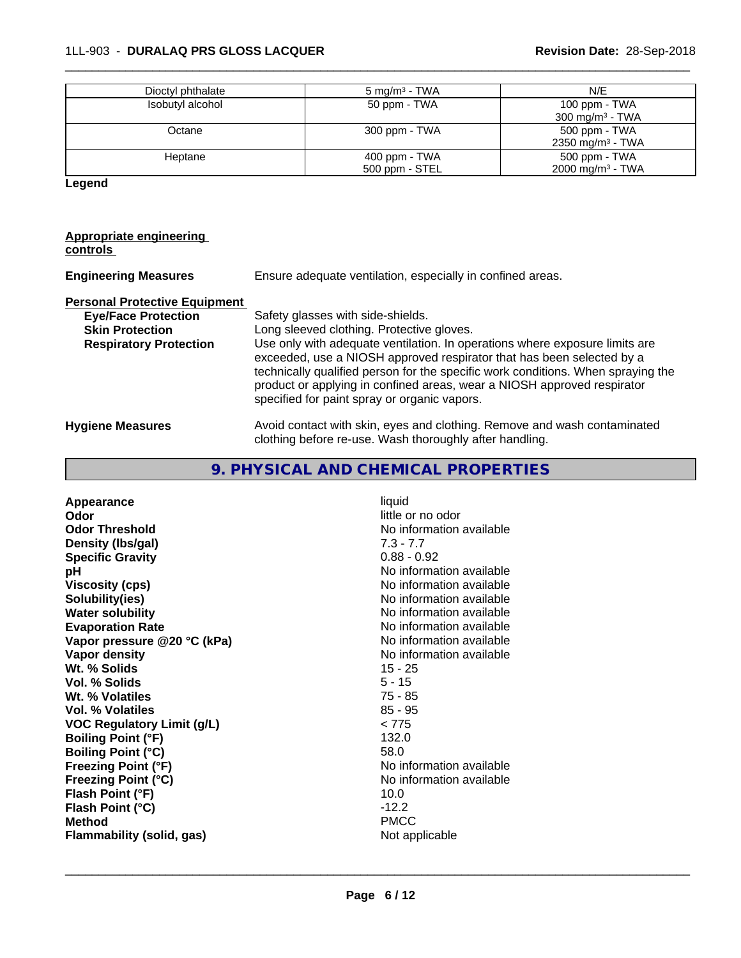## 1LL-903 - **DURALAQ PRS GLOSS LACQUER Revision Date:** 28-Sep-2018

| Dioctyl phthalate | $5 \text{ mg/m}^3$ - TWA | N/E                          |
|-------------------|--------------------------|------------------------------|
| Isobutyl alcohol  | 50 ppm - TWA             | 100 ppm - TWA                |
|                   |                          | 300 mg/m <sup>3</sup> - TWA  |
| Octane            | 300 ppm - TWA            | 500 ppm - TWA                |
|                   |                          | 2350 mg/m <sup>3</sup> - TWA |
| Heptane           | 400 ppm - TWA            | 500 ppm - TWA                |
|                   | 500 ppm - STEL           | $2000 \text{ mg/m}^3$ - TWA  |

 $\overline{\phantom{a}}$  ,  $\overline{\phantom{a}}$  ,  $\overline{\phantom{a}}$  ,  $\overline{\phantom{a}}$  ,  $\overline{\phantom{a}}$  ,  $\overline{\phantom{a}}$  ,  $\overline{\phantom{a}}$  ,  $\overline{\phantom{a}}$  ,  $\overline{\phantom{a}}$  ,  $\overline{\phantom{a}}$  ,  $\overline{\phantom{a}}$  ,  $\overline{\phantom{a}}$  ,  $\overline{\phantom{a}}$  ,  $\overline{\phantom{a}}$  ,  $\overline{\phantom{a}}$  ,  $\overline{\phantom{a}}$ 

**Legend**

#### **Appropriate engineering controls**

| <b>Engineering Measures</b>          | Ensure adequate ventilation, especially in confined areas.                                                                                                                                                                                                                                                                                                          |
|--------------------------------------|---------------------------------------------------------------------------------------------------------------------------------------------------------------------------------------------------------------------------------------------------------------------------------------------------------------------------------------------------------------------|
| <b>Personal Protective Equipment</b> |                                                                                                                                                                                                                                                                                                                                                                     |
| <b>Eye/Face Protection</b>           | Safety glasses with side-shields.                                                                                                                                                                                                                                                                                                                                   |
| <b>Skin Protection</b>               | Long sleeved clothing. Protective gloves.                                                                                                                                                                                                                                                                                                                           |
| <b>Respiratory Protection</b>        | Use only with adequate ventilation. In operations where exposure limits are<br>exceeded, use a NIOSH approved respirator that has been selected by a<br>technically qualified person for the specific work conditions. When spraying the<br>product or applying in confined areas, wear a NIOSH approved respirator<br>specified for paint spray or organic vapors. |
| <b>Hygiene Measures</b>              | Avoid contact with skin, eyes and clothing. Remove and wash contaminated<br>clothing before re-use. Wash thoroughly after handling.                                                                                                                                                                                                                                 |

# **9. PHYSICAL AND CHEMICAL PROPERTIES**

| liquid<br>Appearance<br>Odor<br><b>Odor Threshold</b><br>Density (Ibs/gal)<br><b>Specific Gravity</b><br>рH<br><b>Viscosity (cps)</b><br>Solubility(ies)<br><b>Water solubility</b><br><b>Evaporation Rate</b><br>Vapor pressure @20 °C (kPa)<br>Vapor density<br>Wt. % Solids<br>Vol. % Solids<br>Wt. % Volatiles<br>Vol. % Volatiles<br><b>VOC Regulatory Limit (g/L)</b><br><b>Boiling Point (°F)</b><br><b>Boiling Point (°C)</b><br><b>Freezing Point (°F)</b><br><b>Freezing Point (°C)</b><br>Flash Point (°F)<br>Flash Point (°C)<br><b>Method</b><br>Flammability (solid, gas) | little or no odor<br>No information available<br>$7.3 - 7.7$<br>$0.88 - 0.92$<br>No information available<br>No information available<br>No information available<br>No information available<br>No information available<br>No information available<br>No information available<br>$15 - 25$<br>$5 - 15$<br>$75 - 85$<br>$85 - 95$<br>< 775<br>132.0<br>58.0<br>No information available<br>No information available<br>10.0<br>$-12.2$<br><b>PMCC</b><br>Not applicable |
|-----------------------------------------------------------------------------------------------------------------------------------------------------------------------------------------------------------------------------------------------------------------------------------------------------------------------------------------------------------------------------------------------------------------------------------------------------------------------------------------------------------------------------------------------------------------------------------------|----------------------------------------------------------------------------------------------------------------------------------------------------------------------------------------------------------------------------------------------------------------------------------------------------------------------------------------------------------------------------------------------------------------------------------------------------------------------------|
|-----------------------------------------------------------------------------------------------------------------------------------------------------------------------------------------------------------------------------------------------------------------------------------------------------------------------------------------------------------------------------------------------------------------------------------------------------------------------------------------------------------------------------------------------------------------------------------------|----------------------------------------------------------------------------------------------------------------------------------------------------------------------------------------------------------------------------------------------------------------------------------------------------------------------------------------------------------------------------------------------------------------------------------------------------------------------------|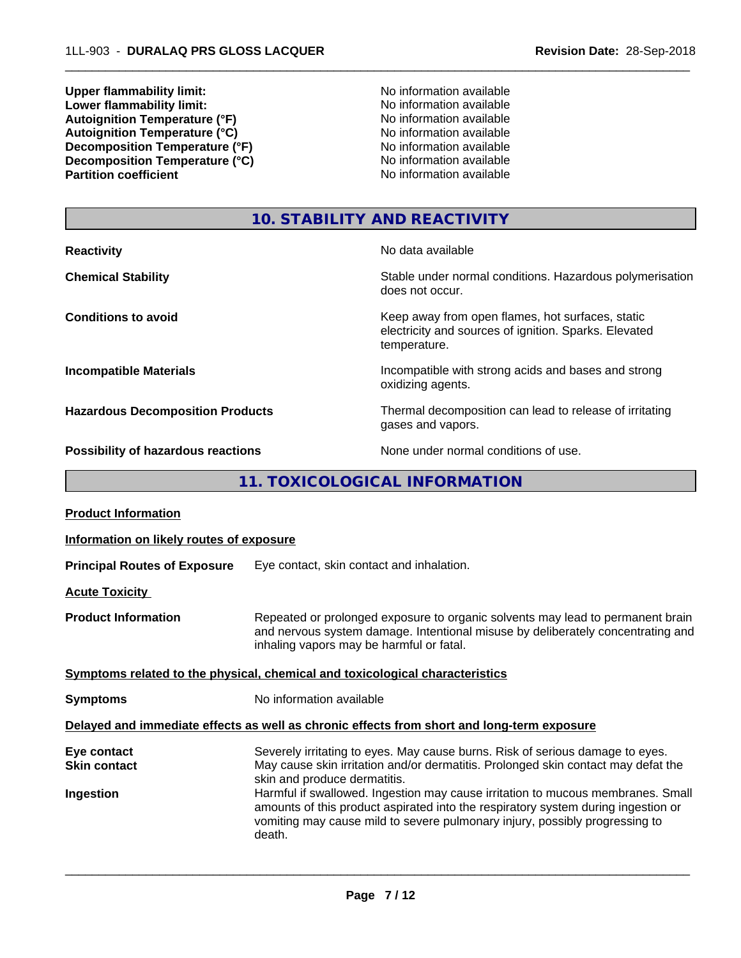**Upper flammability limit:**<br> **Lower flammability limit:**<br> **Lower flammability limit:**<br>
No information available **Lower flammability limit:**<br> **Autoignition Temperature (°F)**<br>
Mo information available<br>
No information available Autoignition **Temperature** (°F) <br>
Autoignition **Temperature** (°C) <br>
No information available Autoignition **Temperature** (°C) Mo information available<br>Decomposition **Temperature** (°F) No information available **Decomposition Temperature (°F)**<br> **Decomposition Temperature (°C)**<br>
No information available<br>
No information available **Decomposition Temperature (°C)**<br>Partition coefficient

**No information available** 

 $\overline{\phantom{a}}$  ,  $\overline{\phantom{a}}$  ,  $\overline{\phantom{a}}$  ,  $\overline{\phantom{a}}$  ,  $\overline{\phantom{a}}$  ,  $\overline{\phantom{a}}$  ,  $\overline{\phantom{a}}$  ,  $\overline{\phantom{a}}$  ,  $\overline{\phantom{a}}$  ,  $\overline{\phantom{a}}$  ,  $\overline{\phantom{a}}$  ,  $\overline{\phantom{a}}$  ,  $\overline{\phantom{a}}$  ,  $\overline{\phantom{a}}$  ,  $\overline{\phantom{a}}$  ,  $\overline{\phantom{a}}$ 

# **10. STABILITY AND REACTIVITY**

| <b>Reactivity</b>                         | No data available                                                                                                         |
|-------------------------------------------|---------------------------------------------------------------------------------------------------------------------------|
| <b>Chemical Stability</b>                 | Stable under normal conditions. Hazardous polymerisation<br>does not occur.                                               |
| <b>Conditions to avoid</b>                | Keep away from open flames, hot surfaces, static<br>electricity and sources of ignition. Sparks. Elevated<br>temperature. |
| <b>Incompatible Materials</b>             | Incompatible with strong acids and bases and strong<br>oxidizing agents.                                                  |
| <b>Hazardous Decomposition Products</b>   | Thermal decomposition can lead to release of irritating<br>gases and vapors.                                              |
| <b>Possibility of hazardous reactions</b> | None under normal conditions of use.                                                                                      |

**11. TOXICOLOGICAL INFORMATION**

| <b>Product Information</b>                      |                                                                                                                                                                                                                                                                                                                                                                                                                                                                     |  |
|-------------------------------------------------|---------------------------------------------------------------------------------------------------------------------------------------------------------------------------------------------------------------------------------------------------------------------------------------------------------------------------------------------------------------------------------------------------------------------------------------------------------------------|--|
| Information on likely routes of exposure        |                                                                                                                                                                                                                                                                                                                                                                                                                                                                     |  |
| <b>Principal Routes of Exposure</b>             | Eye contact, skin contact and inhalation.                                                                                                                                                                                                                                                                                                                                                                                                                           |  |
| <b>Acute Toxicity</b>                           |                                                                                                                                                                                                                                                                                                                                                                                                                                                                     |  |
| <b>Product Information</b>                      | Repeated or prolonged exposure to organic solvents may lead to permanent brain<br>and nervous system damage. Intentional misuse by deliberately concentrating and<br>inhaling vapors may be harmful or fatal.                                                                                                                                                                                                                                                       |  |
|                                                 | Symptoms related to the physical, chemical and toxicological characteristics                                                                                                                                                                                                                                                                                                                                                                                        |  |
| <b>Symptoms</b>                                 | No information available                                                                                                                                                                                                                                                                                                                                                                                                                                            |  |
|                                                 | Delayed and immediate effects as well as chronic effects from short and long-term exposure                                                                                                                                                                                                                                                                                                                                                                          |  |
| Eye contact<br><b>Skin contact</b><br>Ingestion | Severely irritating to eyes. May cause burns. Risk of serious damage to eyes.<br>May cause skin irritation and/or dermatitis. Prolonged skin contact may defat the<br>skin and produce dermatitis.<br>Harmful if swallowed. Ingestion may cause irritation to mucous membranes. Small<br>amounts of this product aspirated into the respiratory system during ingestion or<br>vomiting may cause mild to severe pulmonary injury, possibly progressing to<br>death. |  |
|                                                 |                                                                                                                                                                                                                                                                                                                                                                                                                                                                     |  |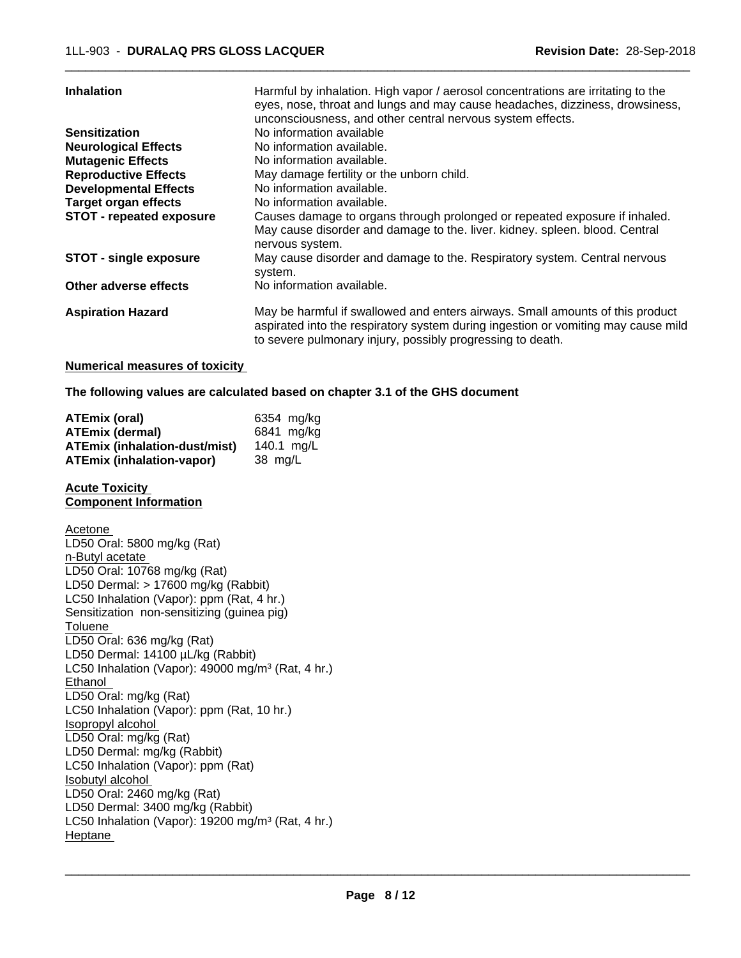| <b>Inhalation</b>               | Harmful by inhalation. High vapor / aerosol concentrations are irritating to the                                                           |
|---------------------------------|--------------------------------------------------------------------------------------------------------------------------------------------|
|                                 | eyes, nose, throat and lungs and may cause headaches, dizziness, drowsiness,<br>unconsciousness, and other central nervous system effects. |
|                                 |                                                                                                                                            |
| <b>Sensitization</b>            | No information available                                                                                                                   |
| <b>Neurological Effects</b>     | No information available.                                                                                                                  |
| <b>Mutagenic Effects</b>        | No information available.                                                                                                                  |
| <b>Reproductive Effects</b>     | May damage fertility or the unborn child.                                                                                                  |
| <b>Developmental Effects</b>    | No information available.                                                                                                                  |
| <b>Target organ effects</b>     | No information available.                                                                                                                  |
| <b>STOT - repeated exposure</b> | Causes damage to organs through prolonged or repeated exposure if inhaled.                                                                 |
|                                 | May cause disorder and damage to the. liver. kidney. spleen. blood. Central                                                                |
|                                 | nervous system.                                                                                                                            |
| <b>STOT - single exposure</b>   | May cause disorder and damage to the. Respiratory system. Central nervous                                                                  |
|                                 | system.                                                                                                                                    |
| Other adverse effects           | No information available.                                                                                                                  |
| <b>Aspiration Hazard</b>        | May be harmful if swallowed and enters airways. Small amounts of this product                                                              |
|                                 | aspirated into the respiratory system during ingestion or vomiting may cause mild                                                          |
|                                 | to severe pulmonary injury, possibly progressing to death.                                                                                 |
|                                 |                                                                                                                                            |

#### **Numerical measures of toxicity**

**The following values are calculated based on chapter 3.1 of the GHS document**

| <b>ATEmix (oral)</b>                 | 6354 mg/kg |
|--------------------------------------|------------|
| <b>ATEmix (dermal)</b>               | 6841 mg/kg |
| <b>ATEmix (inhalation-dust/mist)</b> | 140.1 mg/L |
| <b>ATEmix (inhalation-vapor)</b>     | 38 mg/L    |

#### **Acute Toxicity Component Information**

Acetone LD50 Oral: 5800 mg/kg (Rat) n-Butyl acetate LD50 Oral: 10768 mg/kg (Rat) LD50 Dermal: > 17600 mg/kg (Rabbit) LC50 Inhalation (Vapor): ppm (Rat, 4 hr.) Sensitization non-sensitizing (guinea pig) **Toluene** LD50 Oral: 636 mg/kg (Rat) LD50 Dermal: 14100 µL/kg (Rabbit) LC50 Inhalation (Vapor): 49000 mg/m<sup>3</sup> (Rat, 4 hr.) Ethanol LD50 Oral: mg/kg (Rat) LC50 Inhalation (Vapor): ppm (Rat, 10 hr.) Isopropyl alcohol LD50 Oral: mg/kg (Rat) LD50 Dermal: mg/kg (Rabbit) LC50 Inhalation (Vapor): ppm (Rat) Isobutyl alcohol LD50 Oral: 2460 mg/kg (Rat) LD50 Dermal: 3400 mg/kg (Rabbit) LC50 Inhalation (Vapor): 19200 mg/m<sup>3</sup> (Rat, 4 hr.) Heptane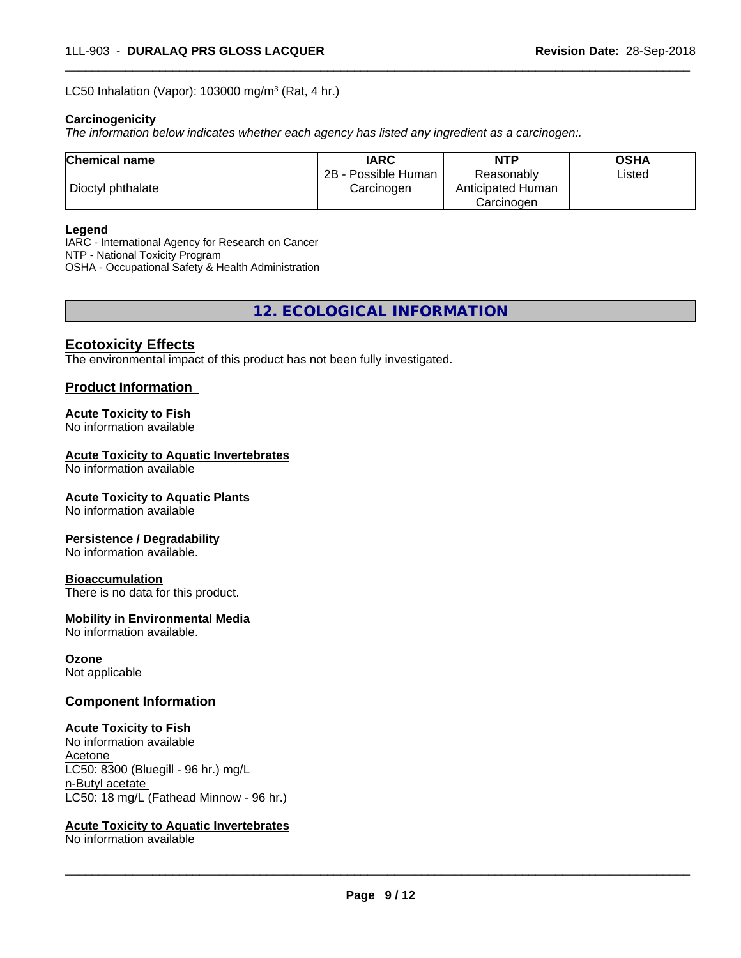LC50 Inhalation (Vapor): 103000 mg/m<sup>3</sup> (Rat, 4 hr.)

#### **Carcinogenicity**

*The information below indicateswhether each agency has listed any ingredient as a carcinogen:.*

| <b>Chemical name</b> | <b>IARC</b>         | <b>NTP</b>        | <b>OSHA</b> |
|----------------------|---------------------|-------------------|-------------|
|                      | 2B - Possible Human | Reasonably        | Listed      |
| Dioctyl phthalate    | Carcinogen          | Anticipated Human |             |
|                      |                     | Carcinoɑen        |             |

 $\overline{\phantom{a}}$  ,  $\overline{\phantom{a}}$  ,  $\overline{\phantom{a}}$  ,  $\overline{\phantom{a}}$  ,  $\overline{\phantom{a}}$  ,  $\overline{\phantom{a}}$  ,  $\overline{\phantom{a}}$  ,  $\overline{\phantom{a}}$  ,  $\overline{\phantom{a}}$  ,  $\overline{\phantom{a}}$  ,  $\overline{\phantom{a}}$  ,  $\overline{\phantom{a}}$  ,  $\overline{\phantom{a}}$  ,  $\overline{\phantom{a}}$  ,  $\overline{\phantom{a}}$  ,  $\overline{\phantom{a}}$ 

#### **Legend**

IARC - International Agency for Research on Cancer NTP - National Toxicity Program OSHA - Occupational Safety & Health Administration

**12. ECOLOGICAL INFORMATION**

## **Ecotoxicity Effects**

The environmental impact of this product has not been fully investigated.

#### **Product Information**

#### **Acute Toxicity to Fish**

No information available

#### **Acute Toxicity to Aquatic Invertebrates**

No information available

#### **Acute Toxicity to Aquatic Plants**

No information available

#### **Persistence / Degradability**

No information available.

#### **Bioaccumulation**

There is no data for this product.

#### **Mobility in Environmental Media**

No information available.

### **Ozone**

Not applicable

### **Component Information**

#### **Acute Toxicity to Fish**

No information available Acetone LC50: 8300 (Bluegill - 96 hr.) mg/L n-Butyl acetate LC50: 18 mg/L (Fathead Minnow - 96 hr.)

#### **Acute Toxicity to Aquatic Invertebrates**

No information available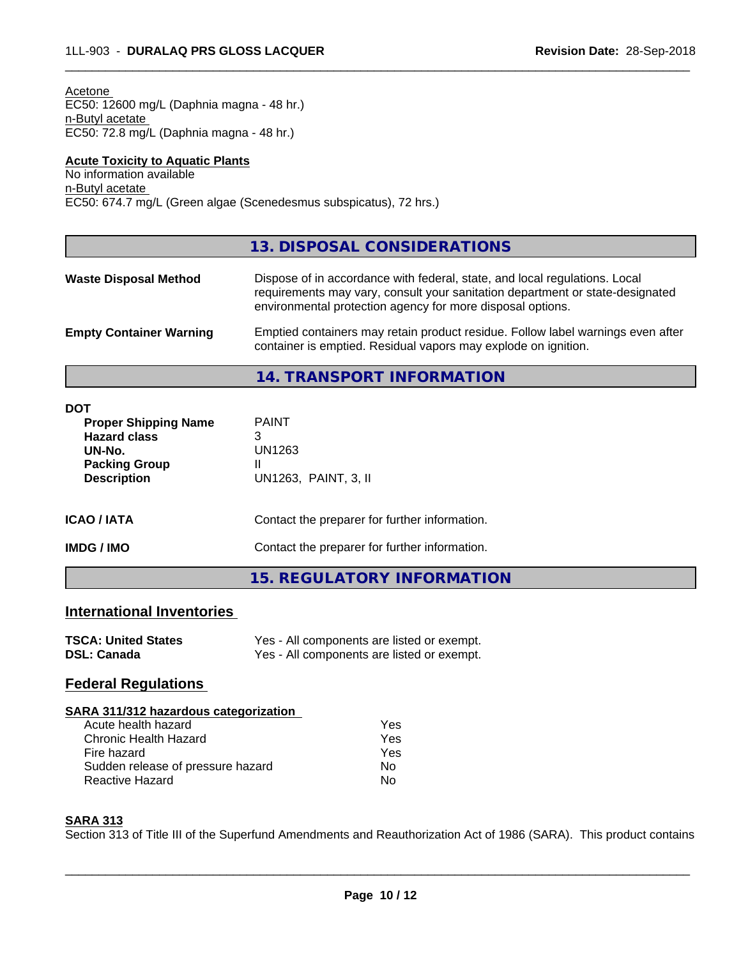| EC50: 12600 mg/L (Daphnia magna - 48 hr.)<br>n-Butyl acetate<br>EC50: 72.8 mg/L (Daphnia magna - 48 hr.)                 |                                                                                                                                                                                                                           |
|--------------------------------------------------------------------------------------------------------------------------|---------------------------------------------------------------------------------------------------------------------------------------------------------------------------------------------------------------------------|
| <b>Acute Toxicity to Aquatic Plants</b><br>No information available<br>n-Butyl acetate                                   | EC50: 674.7 mg/L (Green algae (Scenedesmus subspicatus), 72 hrs.)                                                                                                                                                         |
|                                                                                                                          | 13. DISPOSAL CONSIDERATIONS                                                                                                                                                                                               |
| <b>Waste Disposal Method</b>                                                                                             | Dispose of in accordance with federal, state, and local regulations. Local<br>requirements may vary, consult your sanitation department or state-designated<br>environmental protection agency for more disposal options. |
| <b>Empty Container Warning</b>                                                                                           | Emptied containers may retain product residue. Follow label warnings even after<br>container is emptied. Residual vapors may explode on ignition.                                                                         |
|                                                                                                                          | <b>14. TRANSPORT INFORMATION</b>                                                                                                                                                                                          |
| <b>DOT</b><br><b>Proper Shipping Name</b><br><b>Hazard class</b><br>UN-No.<br><b>Packing Group</b><br><b>Description</b> | <b>PAINT</b><br>3<br><b>UN1263</b><br>Ш<br>UN1263, PAINT, 3, II                                                                                                                                                           |
| <b>ICAO / IATA</b>                                                                                                       | Contact the preparer for further information.                                                                                                                                                                             |
| <b>IMDG / IMO</b>                                                                                                        | Contact the preparer for further information.                                                                                                                                                                             |

## **15. REGULATORY INFORMATION**

# **International Inventories**

| <b>TSCA: United States</b> | Yes - All components are listed or exempt. |
|----------------------------|--------------------------------------------|
| <b>DSL: Canada</b>         | Yes - All components are listed or exempt. |

## **Federal Regulations**

| SARA 311/312 hazardous categorization |     |  |
|---------------------------------------|-----|--|
| Acute health hazard                   | Yes |  |
| Chronic Health Hazard                 | Yes |  |
| Fire hazard                           | Yes |  |
| Sudden release of pressure hazard     | No. |  |

Reactive Hazard No

#### **SARA 313**

Section 313 of Title III of the Superfund Amendments and Reauthorization Act of 1986 (SARA). This product contains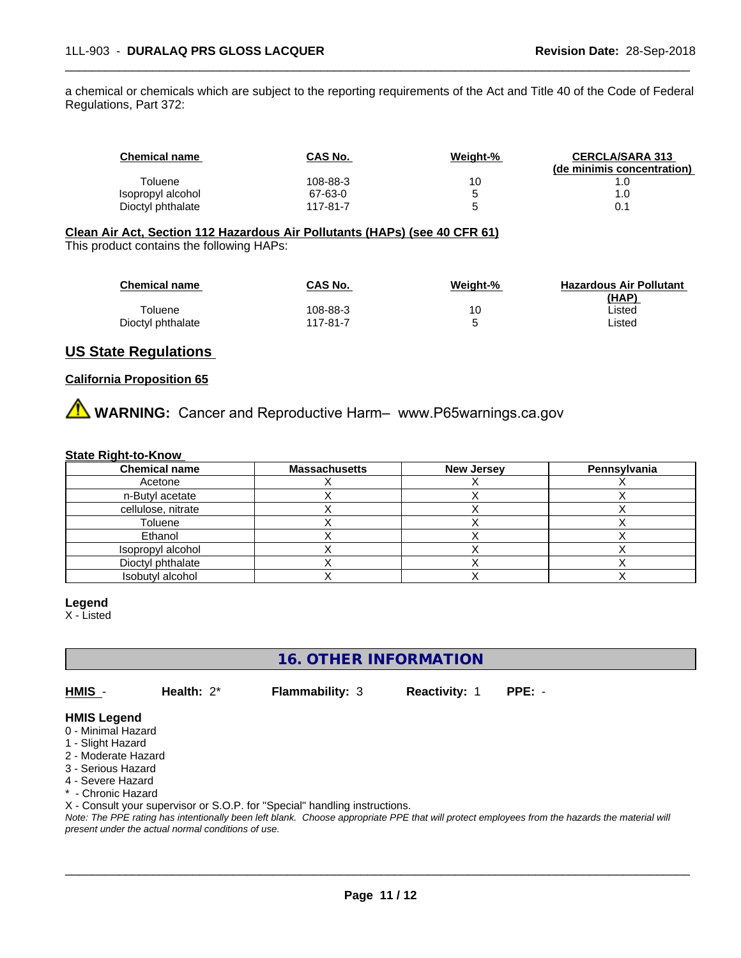a chemical or chemicals which are subject to the reporting requirements of the Act and Title 40 of the Code of Federal Regulations, Part 372:

| <b>Chemical name</b> | CAS No.  | Weight-% | <b>CERCLA/SARA 313</b><br>(de minimis concentration) |
|----------------------|----------|----------|------------------------------------------------------|
| Toluene              | 108-88-3 | 10       |                                                      |
| Isopropyl alcohol    | 67-63-0  | 5        | l .O                                                 |
| Dioctyl phthalate    | 117-81-7 | ∽        |                                                      |

 $\overline{\phantom{a}}$  ,  $\overline{\phantom{a}}$  ,  $\overline{\phantom{a}}$  ,  $\overline{\phantom{a}}$  ,  $\overline{\phantom{a}}$  ,  $\overline{\phantom{a}}$  ,  $\overline{\phantom{a}}$  ,  $\overline{\phantom{a}}$  ,  $\overline{\phantom{a}}$  ,  $\overline{\phantom{a}}$  ,  $\overline{\phantom{a}}$  ,  $\overline{\phantom{a}}$  ,  $\overline{\phantom{a}}$  ,  $\overline{\phantom{a}}$  ,  $\overline{\phantom{a}}$  ,  $\overline{\phantom{a}}$ 

# **Clean Air Act,Section 112 Hazardous Air Pollutants (HAPs) (see 40 CFR 61)**

This product contains the following HAPs:

| <b>Chemical name</b> | CAS No.  | Weight-% | <b>Hazardous Air Pollutant</b> |
|----------------------|----------|----------|--------------------------------|
|                      |          |          | (HAP)                          |
| Toluene              | 108-88-3 | 10       | ∟isted                         |
| Dioctyl phthalate    | 117-81-7 |          | ∟isted                         |

## **US State Regulations**

### **California Proposition 65**

**AVIMARNING:** Cancer and Reproductive Harm– www.P65warnings.ca.gov

#### **State Right-to-Know**

| <b>Chemical name</b> | <b>Massachusetts</b> | <b>New Jersey</b> | Pennsylvania |
|----------------------|----------------------|-------------------|--------------|
| Acetone              |                      |                   |              |
| n-Butyl acetate      |                      |                   |              |
| cellulose, nitrate   |                      |                   |              |
| Toluene              |                      |                   |              |
| Ethanol              |                      |                   |              |
| Isopropyl alcohol    |                      |                   |              |
| Dioctyl phthalate    |                      |                   |              |
| Isobutyl alcohol     |                      |                   |              |

#### **Legend**

X - Listed

**16. OTHER INFORMATION**

**HMIS** - **Health:** 2\* **Flammability:** 3 **Reactivity:** 1 **PPE:** -

 $\overline{\phantom{a}}$  ,  $\overline{\phantom{a}}$  ,  $\overline{\phantom{a}}$  ,  $\overline{\phantom{a}}$  ,  $\overline{\phantom{a}}$  ,  $\overline{\phantom{a}}$  ,  $\overline{\phantom{a}}$  ,  $\overline{\phantom{a}}$  ,  $\overline{\phantom{a}}$  ,  $\overline{\phantom{a}}$  ,  $\overline{\phantom{a}}$  ,  $\overline{\phantom{a}}$  ,  $\overline{\phantom{a}}$  ,  $\overline{\phantom{a}}$  ,  $\overline{\phantom{a}}$  ,  $\overline{\phantom{a}}$ 

## **HMIS Legend**

- 0 Minimal Hazard
- 1 Slight Hazard
- 2 Moderate Hazard
- 3 Serious Hazard
- 4 Severe Hazard
- \* Chronic Hazard

X - Consult your supervisor or S.O.P. for "Special" handling instructions.

*Note: The PPE rating has intentionally been left blank. Choose appropriate PPE that will protect employees from the hazards the material will present under the actual normal conditions of use.*